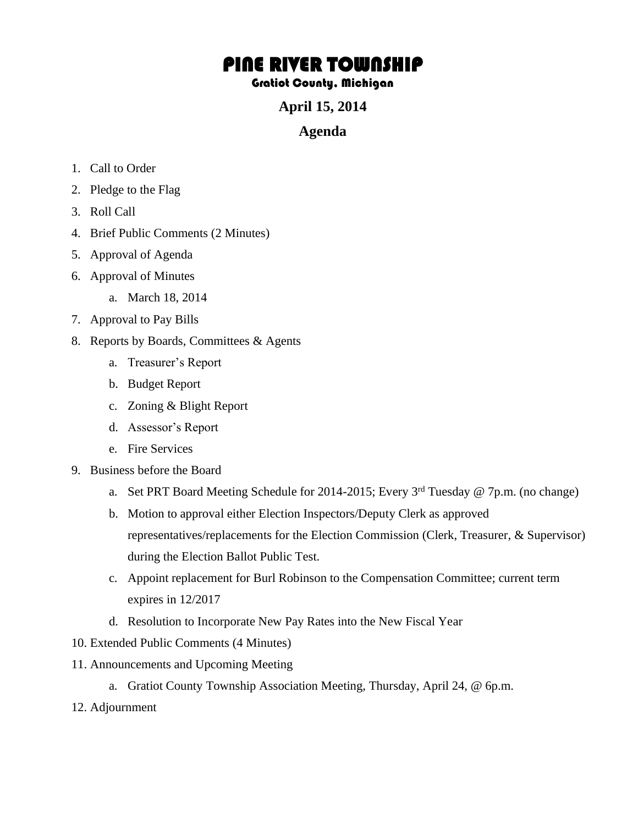# PINE RIVER TOWNSHIP

### Gratiot County, Michigan

**April 15, 2014** 

## **Agenda**

- 1. Call to Order
- 2. Pledge to the Flag
- 3. Roll Call
- 4. Brief Public Comments (2 Minutes)
- 5. Approval of Agenda
- 6. Approval of Minutes
	- a. March 18, 2014
- 7. Approval to Pay Bills
- 8. Reports by Boards, Committees & Agents
	- a. Treasurer's Report
	- b. Budget Report
	- c. Zoning & Blight Report
	- d. Assessor's Report
	- e. Fire Services
- 9. Business before the Board
	- a. Set PRT Board Meeting Schedule for 2014-2015; Every  $3<sup>rd</sup>$  Tuesday @ 7p.m. (no change)
	- b. Motion to approval either Election Inspectors/Deputy Clerk as approved representatives/replacements for the Election Commission (Clerk, Treasurer, & Supervisor) during the Election Ballot Public Test.
	- c. Appoint replacement for Burl Robinson to the Compensation Committee; current term expires in 12/2017
	- d. Resolution to Incorporate New Pay Rates into the New Fiscal Year
- 10. Extended Public Comments (4 Minutes)
- 11. Announcements and Upcoming Meeting
	- a. Gratiot County Township Association Meeting, Thursday, April 24, @ 6p.m.
- 12. Adjournment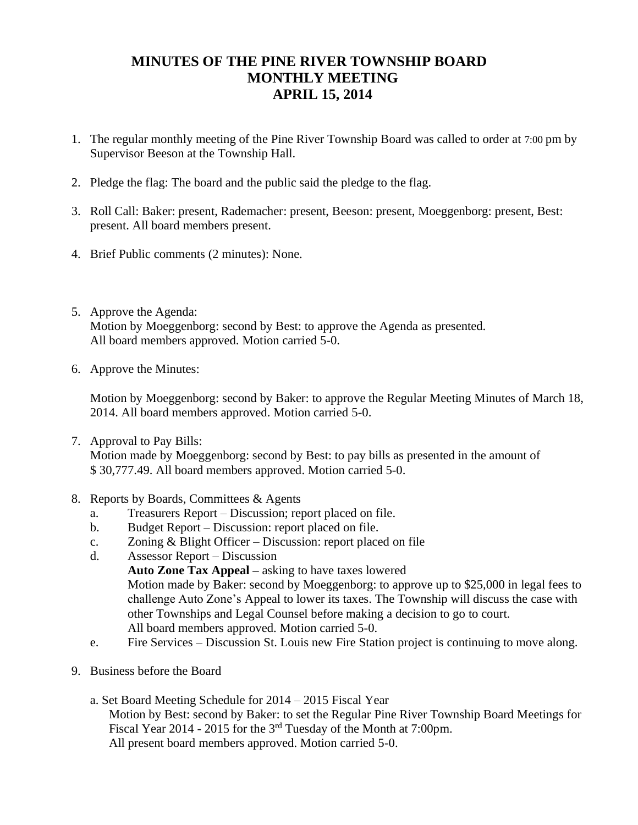## **MINUTES OF THE PINE RIVER TOWNSHIP BOARD MONTHLY MEETING APRIL 15, 2014**

- 1. The regular monthly meeting of the Pine River Township Board was called to order at 7:00 pm by Supervisor Beeson at the Township Hall.
- 2. Pledge the flag: The board and the public said the pledge to the flag.
- 3. Roll Call: Baker: present, Rademacher: present, Beeson: present, Moeggenborg: present, Best: present. All board members present.
- 4. Brief Public comments (2 minutes): None.
- 5. Approve the Agenda: Motion by Moeggenborg: second by Best: to approve the Agenda as presented. All board members approved. Motion carried 5-0.
- 6. Approve the Minutes:

Motion by Moeggenborg: second by Baker: to approve the Regular Meeting Minutes of March 18, 2014. All board members approved. Motion carried 5-0.

- 7. Approval to Pay Bills: Motion made by Moeggenborg: second by Best: to pay bills as presented in the amount of \$ 30,777.49. All board members approved. Motion carried 5-0.
- 8. Reports by Boards, Committees & Agents
	- a. Treasurers Report Discussion; report placed on file.
	- b. Budget Report Discussion: report placed on file.
	- c. Zoning & Blight Officer Discussion: report placed on file
	- d. Assessor Report Discussion **Auto Zone Tax Appeal –** asking to have taxes lowered Motion made by Baker: second by Moeggenborg: to approve up to \$25,000 in legal fees to challenge Auto Zone's Appeal to lower its taxes. The Township will discuss the case with other Townships and Legal Counsel before making a decision to go to court. All board members approved. Motion carried 5-0.
	- e. Fire Services Discussion St. Louis new Fire Station project is continuing to move along.
- 9. Business before the Board
	- a. Set Board Meeting Schedule for 2014 2015 Fiscal Year Motion by Best: second by Baker: to set the Regular Pine River Township Board Meetings for Fiscal Year 2014 - 2015 for the 3rd Tuesday of the Month at 7:00pm. All present board members approved. Motion carried 5-0.